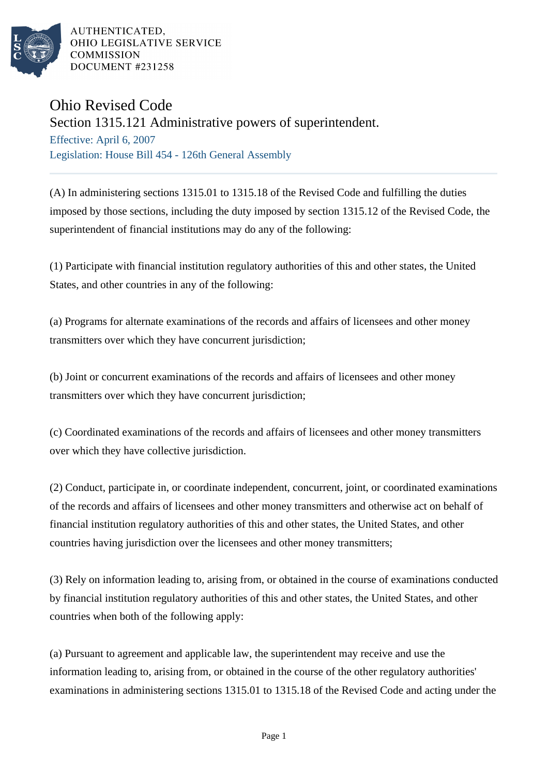

AUTHENTICATED. OHIO LEGISLATIVE SERVICE **COMMISSION** DOCUMENT #231258

## Ohio Revised Code

Section 1315.121 Administrative powers of superintendent.

Effective: April 6, 2007 Legislation: House Bill 454 - 126th General Assembly

(A) In administering sections 1315.01 to 1315.18 of the Revised Code and fulfilling the duties imposed by those sections, including the duty imposed by section 1315.12 of the Revised Code, the superintendent of financial institutions may do any of the following:

(1) Participate with financial institution regulatory authorities of this and other states, the United States, and other countries in any of the following:

(a) Programs for alternate examinations of the records and affairs of licensees and other money transmitters over which they have concurrent jurisdiction;

(b) Joint or concurrent examinations of the records and affairs of licensees and other money transmitters over which they have concurrent jurisdiction;

(c) Coordinated examinations of the records and affairs of licensees and other money transmitters over which they have collective jurisdiction.

(2) Conduct, participate in, or coordinate independent, concurrent, joint, or coordinated examinations of the records and affairs of licensees and other money transmitters and otherwise act on behalf of financial institution regulatory authorities of this and other states, the United States, and other countries having jurisdiction over the licensees and other money transmitters;

(3) Rely on information leading to, arising from, or obtained in the course of examinations conducted by financial institution regulatory authorities of this and other states, the United States, and other countries when both of the following apply:

(a) Pursuant to agreement and applicable law, the superintendent may receive and use the information leading to, arising from, or obtained in the course of the other regulatory authorities' examinations in administering sections 1315.01 to 1315.18 of the Revised Code and acting under the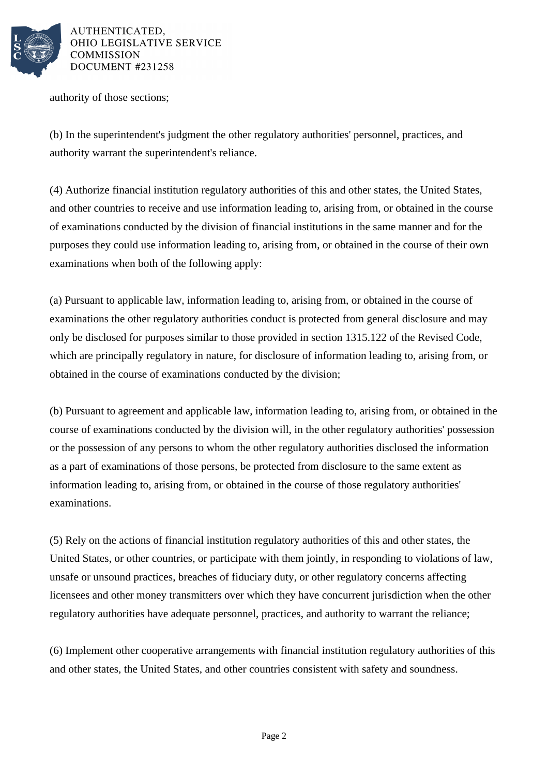

AUTHENTICATED. OHIO LEGISLATIVE SERVICE DOCUMENT #231258

authority of those sections;

(b) In the superintendent's judgment the other regulatory authorities' personnel, practices, and authority warrant the superintendent's reliance.

(4) Authorize financial institution regulatory authorities of this and other states, the United States, and other countries to receive and use information leading to, arising from, or obtained in the course of examinations conducted by the division of financial institutions in the same manner and for the purposes they could use information leading to, arising from, or obtained in the course of their own examinations when both of the following apply:

(a) Pursuant to applicable law, information leading to, arising from, or obtained in the course of examinations the other regulatory authorities conduct is protected from general disclosure and may only be disclosed for purposes similar to those provided in section 1315.122 of the Revised Code, which are principally regulatory in nature, for disclosure of information leading to, arising from, or obtained in the course of examinations conducted by the division;

(b) Pursuant to agreement and applicable law, information leading to, arising from, or obtained in the course of examinations conducted by the division will, in the other regulatory authorities' possession or the possession of any persons to whom the other regulatory authorities disclosed the information as a part of examinations of those persons, be protected from disclosure to the same extent as information leading to, arising from, or obtained in the course of those regulatory authorities' examinations.

(5) Rely on the actions of financial institution regulatory authorities of this and other states, the United States, or other countries, or participate with them jointly, in responding to violations of law, unsafe or unsound practices, breaches of fiduciary duty, or other regulatory concerns affecting licensees and other money transmitters over which they have concurrent jurisdiction when the other regulatory authorities have adequate personnel, practices, and authority to warrant the reliance;

(6) Implement other cooperative arrangements with financial institution regulatory authorities of this and other states, the United States, and other countries consistent with safety and soundness.